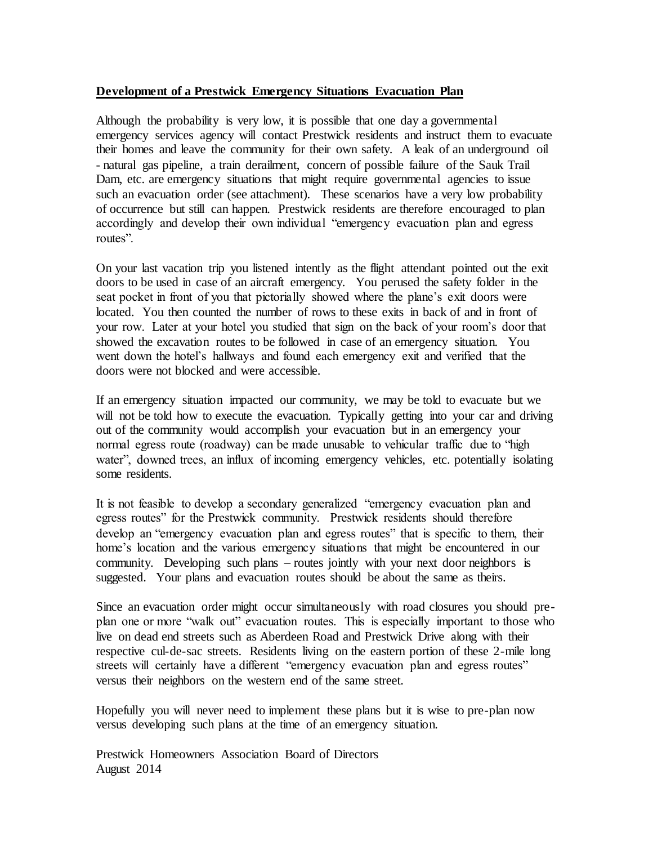# **Development of a Prestwick Emergency Situations Evacuation Plan**

Although the probability is very low, it is possible that one day a governmental emergency services agency will contact Prestwick residents and instruct them to evacuate their homes and leave the community for their own safety. A leak of an underground oil - natural gas pipeline, a train derailment, concern of possible failure of the Sauk Trail Dam, etc. are emergency situations that might require governmental agencies to issue such an evacuation order (see attachment). These scenarios have a very low probability of occurrence but still can happen. Prestwick residents are therefore encouraged to plan accordingly and develop their own individual "emergency evacuation plan and egress routes".

On your last vacation trip you listened intently as the flight attendant pointed out the exit doors to be used in case of an aircraft emergency. You perused the safety folder in the seat pocket in front of you that pictorially showed where the plane's exit doors were located. You then counted the number of rows to these exits in back of and in front of your row. Later at your hotel you studied that sign on the back of your room's door that showed the excavation routes to be followed in case of an emergency situation. You went down the hotel's hallways and found each emergency exit and verified that the doors were not blocked and were accessible.

If an emergency situation impacted our community, we may be told to evacuate but we will not be told how to execute the evacuation. Typically getting into your car and driving out of the community would accomplish your evacuation but in an emergency your normal egress route (roadway) can be made unusable to vehicular traffic due to "high water", downed trees, an influx of incoming emergency vehicles, etc. potentially isolating some residents.

It is not feasible to develop a secondary generalized "emergency evacuation plan and egress routes" for the Prestwick community. Prestwick residents should therefore develop an "emergency evacuation plan and egress routes" that is specific to them, their home's location and the various emergency situations that might be encountered in our community. Developing such plans – routes jointly with your next door neighbors is suggested. Your plans and evacuation routes should be about the same as theirs.

Since an evacuation order might occur simultaneously with road closures you should preplan one or more "walk out" evacuation routes. This is especially important to those who live on dead end streets such as Aberdeen Road and Prestwick Drive along with their respective cul-de-sac streets. Residents living on the eastern portion of these 2-mile long streets will certainly have a different "emergency evacuation plan and egress routes" versus their neighbors on the western end of the same street.

Hopefully you will never need to implement these plans but it is wise to pre-plan now versus developing such plans at the time of an emergency situation.

Prestwick Homeowners Association Board of Directors August 2014